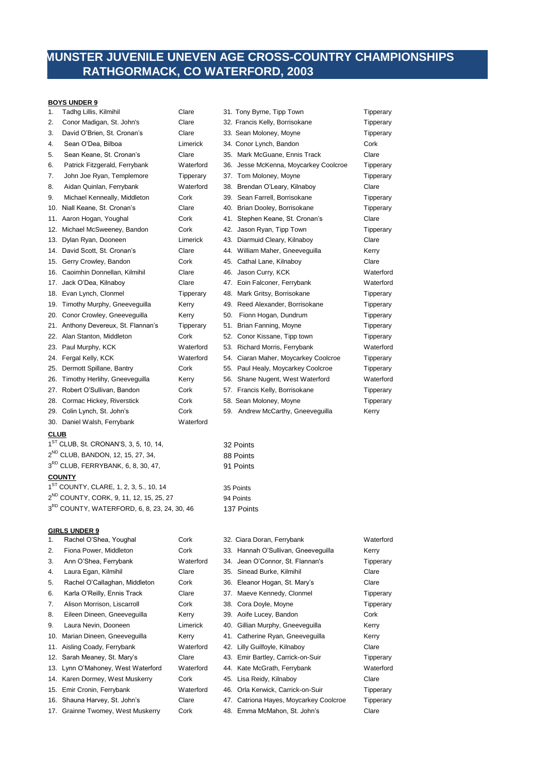## **MUNSTER JUVENILE UNEVEN AGE CROSS-COUNTRY CHAMPIONSHIPS RATHGORMACK, CO WATERFORD, 2003**

#### **BOYS UNDER 9**

| 1.        | Tadhg Lillis, Kilmihil              | Clare            | 31. Tony Byrne, Tipp Town             | Tipperary |
|-----------|-------------------------------------|------------------|---------------------------------------|-----------|
| 2.        | Conor Madigan, St. John's           | Clare            | 32. Francis Kelly, Borrisokane        | Tipperary |
| 3.        | David O'Brien, St. Cronan's         | Clare            | 33. Sean Moloney, Moyne               | Tipperary |
| 4.        | Sean O'Dea, Bilboa                  | Limerick         | 34. Conor Lynch, Bandon               | Cork      |
| 5.        | Sean Keane, St. Cronan's            | Clare            | 35. Mark McGuane, Ennis Track         | Clare     |
| 6.        | Patrick Fitzgerald, Ferrybank       | Waterford        | 36. Jesse McKenna, Moycarkey Coolcroe | Tipperary |
| 7.        | John Joe Ryan, Templemore           | <b>Tipperary</b> | 37. Tom Moloney, Moyne                | Tipperary |
| 8.        | Aidan Quinlan, Ferrybank            | Waterford        | 38. Brendan O'Leary, Kilnaboy         | Clare     |
| 9.        | Michael Kenneally, Middleton        | Cork             | 39. Sean Farrell, Borrisokane         | Tipperary |
|           | 10. Niall Keane, St. Cronan's       | Clare            | 40. Brian Dooley, Borrisokane         | Tipperary |
|           | 11. Aaron Hogan, Youghal            | Cork             | 41. Stephen Keane, St. Cronan's       | Clare     |
|           | 12. Michael McSweeney, Bandon       | Cork             | 42. Jason Ryan, Tipp Town             | Tipperary |
|           | 13. Dylan Ryan, Dooneen             | Limerick         | 43. Diarmuid Cleary, Kilnaboy         | Clare     |
|           | 14. David Scott, St. Cronan's       | Clare            | 44. William Maher, Gneeveguilla       | Kerry     |
|           | 15. Gerry Crowley, Bandon           | Cork             | 45. Cathal Lane, Kilnaboy             | Clare     |
|           | 16. Caoimhin Donnellan, Kilmihil    | Clare            | 46. Jason Curry, KCK                  | Waterford |
|           | 17. Jack O'Dea, Kilnaboy            | Clare            | 47. Eoin Falconer, Ferrybank          | Waterford |
|           | 18. Evan Lynch, Clonmel             | Tipperary        | 48. Mark Gritsy, Borrisokane          | Tipperary |
|           | 19. Timothy Murphy, Gneeveguilla    | Kerry            | 49. Reed Alexander, Borrisokane       | Tipperary |
|           | 20. Conor Crowley, Gneeveguilla     | Kerry            | Fionn Hogan, Dundrum<br>50.           | Tipperary |
|           | 21. Anthony Devereux, St. Flannan's | Tipperary        | 51. Brian Fanning, Moyne              | Tipperary |
|           | 22. Alan Stanton, Middleton         | Cork             | 52. Conor Kissane, Tipp town          | Tipperary |
|           | 23. Paul Murphy, KCK                | Waterford        | 53. Richard Morris, Ferrybank         | Waterford |
|           | 24. Fergal Kelly, KCK               | Waterford        | 54. Ciaran Maher, Moycarkey Coolcroe  | Tipperary |
|           | 25. Dermott Spillane, Bantry        | Cork             | 55. Paul Healy, Moycarkey Coolcroe    | Tipperary |
|           | 26. Timothy Herlihy, Gneeveguilla   | Kerry            | 56. Shane Nugent, West Waterford      | Waterford |
|           | 27. Robert O'Sullivan, Bandon       | Cork             | 57. Francis Kelly, Borrisokane        | Tipperary |
|           | 28. Cormac Hickey, Riverstick       | Cork             | 58. Sean Moloney, Moyne               | Tipperary |
|           | 29. Colin Lynch, St. John's         | Cork             | 59. Andrew McCarthy, Gneeveguilla     | Kerry     |
|           | 30. Daniel Walsh, Ferrybank         | Waterford        |                                       |           |
| $C1$ iip. |                                     |                  |                                       |           |

#### **CLUB**

- $1<sup>ST</sup>$  CLUB, St. CRONAN'S, 3, 5, 10, 14,  $32$  Points 2<sup>ND</sup> CLUB, BANDON, 12, 15, 27, 34, 88 Points 3<sup>RD</sup> CLUB, FERRYBANK, 6, 8, 30, 47, 91 Points **COUNTY** 1<sup>ST</sup> COUNTY, CLARE, 1, 2, 3, 5., 10, 14 35 Points 2<sup>ND</sup> COUNTY, CORK, 9, 11, 12, 15, 25, 27 94 Points
- 3<sup>RD</sup> COUNTY, WATERFORD, 6, 8, 23, 24, 30, 46 137 Points

| 1.  | Rachel O'Shea, Youghal             | Cork      | 32. |
|-----|------------------------------------|-----------|-----|
| 2.  | Fiona Power, Middleton             | Cork      | 33. |
| 3.  | Ann O'Shea, Ferrybank              | Waterford | 34. |
| 4.  | Laura Egan, Kilmihil               | Clare     | 35. |
| 5.  | Rachel O'Callaghan, Middleton      | Cork      | 36. |
| 6.  | Karla O'Reilly, Ennis Track        | Clare     | 37. |
| 7.  | Alison Morrison, Liscarroll        | Cork      | 38. |
| 8.  | Eileen Dineen, Gneeveguilla        | Kerry     | 39. |
| 9.  | Laura Nevin, Dooneen               | Limerick  | 40. |
| 10. | Marian Dineen, Gneeveguilla        | Kerry     | 41. |
| 11. | Aisling Coady, Ferrybank           | Waterford | 42. |
|     | 12. Sarah Meaney, St. Mary's       | Clare     | 43. |
|     | 13. Lynn O'Mahoney, West Waterford | Waterford | 44. |
|     | 14. Karen Dormey, West Muskerry    | Cork      | 45. |
|     | 15. Emir Cronin, Ferrybank         | Waterford | 46. |
|     | 16. Shauna Harvey, St. John's      | Clare     | 47. |
|     | 17. Grainne Twomey, West Muskerry  | Cork      | 48. |

| 1. | Rachel O'Shea, Youghal             | Cork      | 32. Ciara Doran, Ferrybank             | Waterford |
|----|------------------------------------|-----------|----------------------------------------|-----------|
| 2. | Fiona Power, Middleton             | Cork      | 33. Hannah O'Sullivan, Gneeveguilla    | Kerry     |
| 3. | Ann O'Shea, Ferrybank              | Waterford | 34. Jean O'Connor, St. Flannan's       | Tipperary |
| 4. | Laura Egan, Kilmihil               | Clare     | 35. Sinead Burke, Kilmihil             | Clare     |
| 5. | Rachel O'Callaghan, Middleton      | Cork      | 36. Eleanor Hogan, St. Mary's          | Clare     |
| 6. | Karla O'Reilly, Ennis Track        | Clare     | 37. Maeve Kennedy, Clonmel             | Tipperary |
| 7. | Alison Morrison, Liscarroll        | Cork      | 38. Cora Doyle, Moyne                  | Tipperary |
| 8. | Eileen Dineen, Gneeveguilla        | Kerry     | 39. Aoife Lucey, Bandon                | Cork      |
| 9. | Laura Nevin, Dooneen               | Limerick  | 40. Gillian Murphy, Gneeveguilla       | Kerry     |
|    | 10. Marian Dineen, Gneeveguilla    | Kerry     | 41. Catherine Ryan, Gneeveguilla       | Kerry     |
|    | 11. Aisling Coady, Ferrybank       | Waterford | 42. Lilly Guilfoyle, Kilnaboy          | Clare     |
|    | 12. Sarah Meaney, St. Mary's       | Clare     | 43. Emir Bartley, Carrick-on-Suir      | Tipperary |
|    | 13. Lynn O'Mahoney, West Waterford | Waterford | 44. Kate McGrath, Ferrybank            | Waterford |
|    | 14. Karen Dormey, West Muskerry    | Cork      | 45. Lisa Reidy, Kilnaboy               | Clare     |
|    | 15. Emir Cronin, Ferrybank         | Waterford | 46. Orla Kerwick, Carrick-on-Suir      | Tipperary |
|    | 16. Shauna Harvey, St. John's      | Clare     | 47. Catriona Hayes, Moycarkey Coolcroe | Tipperary |
|    | 17. Grainne Twomey, West Muskerry  | Cork      | 48. Emma McMahon, St. John's           | Clare     |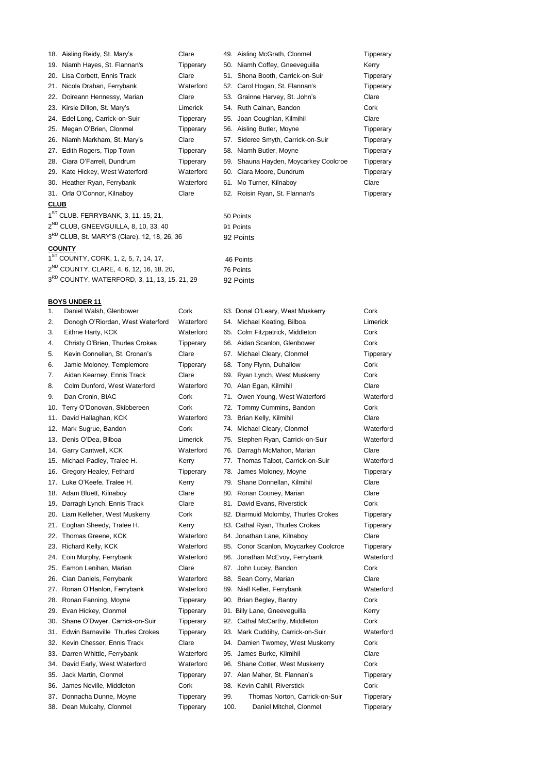| 18. Aisling Reidy, St. Mary's   | Clare     |  | 49. Aisling McGrath, Clonmel          | Tipperary |  |  |  |  |
|---------------------------------|-----------|--|---------------------------------------|-----------|--|--|--|--|
| 19. Niamh Hayes, St. Flannan's  | Tipperary |  | 50. Niamh Coffey, Gneeveguilla        | Kerry     |  |  |  |  |
| 20. Lisa Corbett, Ennis Track   | Clare     |  | 51. Shona Booth, Carrick-on-Suir      | Tipperary |  |  |  |  |
| 21. Nicola Drahan, Ferrybank    | Waterford |  | 52. Carol Hogan, St. Flannan's        | Tipperary |  |  |  |  |
| 22. Doireann Hennessy, Marian   | Clare     |  | 53. Grainne Harvey, St. John's        | Clare     |  |  |  |  |
| 23. Kirsie Dillon, St. Mary's   | Limerick  |  | 54. Ruth Calnan, Bandon               | Cork      |  |  |  |  |
| 24. Edel Long, Carrick-on-Suir  | Tipperary |  | 55. Joan Coughlan, Kilmihil           | Clare     |  |  |  |  |
| 25. Megan O'Brien, Clonmel      | Tipperary |  | 56. Aisling Butler, Moyne             | Tipperary |  |  |  |  |
| 26. Niamh Markham, St. Mary's   | Clare     |  | 57. Sideree Smyth, Carrick-on-Suir    | Tipperary |  |  |  |  |
| 27. Edith Rogers, Tipp Town     | Tipperary |  | 58. Niamh Butler, Moyne               | Tipperary |  |  |  |  |
| 28. Ciara O'Farrell, Dundrum    | Tipperary |  | 59. Shauna Hayden, Moycarkey Coolcroe | Tipperary |  |  |  |  |
| 29. Kate Hickey, West Waterford | Waterford |  | 60. Ciara Moore, Dundrum              | Tipperary |  |  |  |  |
| 30. Heather Ryan, Ferrybank     | Waterford |  | 61. Mo Turner, Kilnaboy               | Clare     |  |  |  |  |
| 31. Orla O'Connor, Kilnaboy     | Clare     |  | 62. Roisin Ryan, St. Flannan's        | Tipperary |  |  |  |  |
| <b>CLUB</b>                     |           |  |                                       |           |  |  |  |  |

- 1<sup>ST</sup> CLUB. FERRYBANK, 3, 11, 15, 21, 50 Points 2<sup>ND</sup> CLUB, GNEEVGUILLA, 8, 10, 33, 40 91 Points 3<sup>RD</sup> CLUB, St. MARY'S (Clare), 12, 18, 26, 36 92 Points **COUNTY**
- 1<sup>ST</sup> COUNTY, CORK, 1, 2, 5, 7, 14, 17, 46 Points 2<sup>ND</sup> COUNTY, CLARE, 4, 6, 12, 16, 18, 20, 76 Points 3<sup>RD</sup> COUNTY, WATERFORD, 3, 11, 13, 15, 21, 29 92 Points

### **BOYS UNDER 11**

| 1. | Daniel Walsh, Glenbower             | Cork      | 63. Donal O'Leary, West Muskerry      | Cork      |
|----|-------------------------------------|-----------|---------------------------------------|-----------|
| 2. | Donogh O'Riordan, West Waterford    | Waterford | 64. Michael Keating, Bilboa           | Limerick  |
| 3. | Eithne Harty, KCK                   | Waterford | 65. Colm Fitzpatrick, Middleton       | Cork      |
| 4. | Christy O'Brien, Thurles Crokes     | Tipperary | 66. Aidan Scanlon, Glenbower          | Cork      |
| 5. | Kevin Connellan, St. Cronan's       | Clare     | 67. Michael Cleary, Clonmel           | Tipperary |
| 6. | Jamie Moloney, Templemore           | Tipperary | 68. Tony Flynn, Duhallow              | Cork      |
| 7. | Aidan Kearney, Ennis Track          | Clare     | 69. Ryan Lynch, West Muskerry         | Cork      |
| 8. | Colm Dunford, West Waterford        | Waterford | 70. Alan Egan, Kilmihil               | Clare     |
| 9. | Dan Cronin, BIAC                    | Cork      | 71. Owen Young, West Waterford        | Waterford |
|    | 10. Terry O'Donovan, Skibbereen     | Cork      | 72. Tommy Cummins, Bandon             | Cork      |
|    | 11. David Hallaghan, KCK            | Waterford | 73. Brian Kelly, Kilmihil             | Clare     |
|    | 12. Mark Sugrue, Bandon             | Cork      | 74. Michael Cleary, Clonmel           | Waterford |
|    | 13. Denis O'Dea, Bilboa             | Limerick  | 75. Stephen Ryan, Carrick-on-Suir     | Waterford |
|    | 14. Garry Cantwell, KCK             | Waterford | 76. Darragh McMahon, Marian           | Clare     |
|    | 15. Michael Padley, Tralee H.       | Kerry     | 77. Thomas Talbot, Carrick-on-Suir    | Waterford |
|    | 16. Gregory Healey, Fethard         | Tipperary | 78. James Moloney, Moyne              | Tipperary |
|    | 17. Luke O'Keefe, Tralee H.         | Kerry     | 79. Shane Donnellan, Kilmihil         | Clare     |
|    | 18. Adam Bluett, Kilnaboy           | Clare     | 80. Ronan Cooney, Marian              | Clare     |
|    | 19. Darragh Lynch, Ennis Track      | Clare     | 81. David Evans, Riverstick           | Cork      |
|    | 20. Liam Kelleher, West Muskerry    | Cork      | 82. Diarmuid Molomby, Thurles Crokes  | Tipperary |
|    | 21. Eoghan Sheedy, Tralee H.        | Kerry     | 83. Cathal Ryan, Thurles Crokes       | Tipperary |
|    | 22. Thomas Greene, KCK              | Waterford | 84. Jonathan Lane, Kilnaboy           | Clare     |
|    | 23. Richard Kelly, KCK              | Waterford | 85. Conor Scanlon, Moycarkey Coolcroe | Tipperary |
|    | 24. Eoin Murphy, Ferrybank          | Waterford | 86. Jonathan McEvoy, Ferrybank        | Waterford |
|    | 25. Eamon Lenihan, Marian           | Clare     | 87. John Lucey, Bandon                | Cork      |
|    | 26. Cian Daniels, Ferrybank         | Waterford | 88. Sean Corry, Marian                | Clare     |
|    | 27. Ronan O'Hanlon, Ferrybank       | Waterford | 89. Niall Keller, Ferrybank           | Waterford |
|    | 28. Ronan Fanning, Moyne            | Tipperary | 90. Brian Begley, Bantry              | Cork      |
|    | 29. Evan Hickey, Clonmel            | Tipperary | 91. Billy Lane, Gneeveguilla          | Kerry     |
|    | 30. Shane O'Dwyer, Carrick-on-Suir  | Tipperary | 92. Cathal McCarthy, Middleton        | Cork      |
|    | 31. Edwin Barnaville Thurles Crokes | Tipperary | 93. Mark Cuddihy, Carrick-on-Suir     | Waterford |
|    | 32. Kevin Chesser, Ennis Track      | Clare     | 94. Damien Twomey, West Muskerry      | Cork      |
|    | 33. Darren Whittle, Ferrybank       | Waterford | 95. James Burke, Kilmihil             | Clare     |
|    | 34. David Early, West Waterford     | Waterford | 96. Shane Cotter, West Muskerry       | Cork      |
|    | 35. Jack Martin, Clonmel            | Tipperary | 97. Alan Maher, St. Flannan's         | Tipperary |
|    | 36. James Neville, Middleton        | Cork      | 98. Kevin Cahill, Riverstick          | Cork      |
|    | 37. Donnacha Dunne, Moyne           | Tipperary | 99.<br>Thomas Norton, Carrick-on-Suir | Tipperary |
|    | 38. Dean Mulcahy, Clonmel           | Tipperary | 100.<br>Daniel Mitchel, Clonmel       | Tipperary |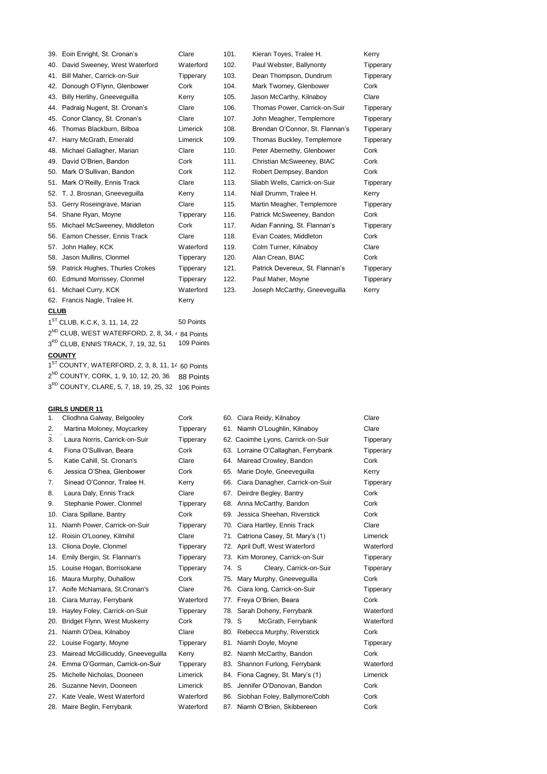|             | 39. Eoin Enright, St. Cronan's                              | Clare            | 101. | Kieran Toyes, Tralee H.         | Kerry     |
|-------------|-------------------------------------------------------------|------------------|------|---------------------------------|-----------|
|             | 40. David Sweeney, West Waterford                           | Waterford        | 102. | Paul Webster, Ballynonty        | Tipperary |
|             | 41. Bill Maher, Carrick-on-Suir                             | Tipperary        | 103. | Dean Thompson, Dundrum          | Tipperary |
|             | 42. Donough O'Flynn, Glenbower                              | Cork             | 104. | Mark Twomey, Glenbower          | Cork      |
|             | 43. Billy Herlihy, Gneeveguilla                             | Kerry            | 105. | Jason McCarthy, Kilnaboy        | Clare     |
|             | 44. Padraig Nugent, St. Cronan's                            | Clare            | 106. | Thomas Power, Carrick-on-Suir   | Tipperary |
|             | 45. Conor Clancy, St. Cronan's                              | Clare            | 107. | John Meagher, Templemore        | Tipperary |
|             | 46. Thomas Blackburn, Bilboa                                | Limerick         | 108. | Brendan O'Connor, St. Flannan's | Tipperary |
|             | 47. Harry McGrath, Emerald                                  | Limerick         | 109. | Thomas Buckley, Templemore      | Tipperary |
|             | 48. Michael Gallagher, Marian                               | Clare            | 110. | Peter Abernethy, Glenbower      | Cork      |
|             | 49. David O'Brien, Bandon                                   | Cork             | 111. | Christian McSweeney, BIAC       | Cork      |
|             | 50. Mark O'Sullivan, Bandon                                 | Cork             | 112. | Robert Dempsey, Bandon          | Cork      |
|             | 51. Mark O'Reilly, Ennis Track                              | Clare            | 113. | Sliabh Wells, Carrick-on-Suir   | Tipperary |
|             | 52. T. J. Brosnan, Gneeveguilla                             | Kerry            | 114. | Niall Drumm, Tralee H.          | Kerry     |
|             | 53. Gerry Roseingrave, Marian                               | Clare            | 115. | Martin Meagher, Templemore      | Tipperary |
|             | 54. Shane Ryan, Moyne                                       | <b>Tipperary</b> | 116. | Patrick McSweeney, Bandon       | Cork      |
|             | 55. Michael McSweeney, Middleton                            | Cork             | 117. | Aidan Fanning, St. Flannan's    | Tipperary |
|             | 56. Eamon Chesser, Ennis Track                              | Clare            | 118. | Evan Coates, Middleton          | Cork      |
|             | 57. John Halley, KCK                                        | Waterford        | 119. | Colm Turner, Kilnaboy           | Clare     |
|             | 58. Jason Mullins, Clonmel                                  | Tipperary        | 120. | Alan Crean, BIAC                | Cork      |
|             | 59. Patrick Hughes, Thurles Crokes                          | Tipperary        | 121. | Patrick Devereux, St. Flannan's | Tipperary |
|             | 60. Edmund Morrissey, Clonmel                               | Tipperary        | 122. | Paul Maher, Moyne               | Tipperary |
|             | 61. Michael Curry, KCK                                      | Waterford        | 123. | Joseph McCarthy, Gneevequilla   | Kerry     |
|             | 62. Francis Nagle, Tralee H.                                | Kerry            |      |                                 |           |
| <b>CLUB</b> |                                                             |                  |      |                                 |           |
|             | 1 <sup>ST</sup> CLUB, K.C.K, 3, 11, 14, 22                  | 50 Points        |      |                                 |           |
|             | 2 <sup>ND</sup> CLUB, WEST WATERFORD, 2, 8, 34, 4 84 Points |                  |      |                                 |           |
|             | 3 <sup>RD</sup> CLUB, ENNIS TRACK, 7, 19, 32, 51            | 109 Points       |      |                                 |           |
|             |                                                             |                  |      |                                 |           |

#### **COUNTY**

1<sup>ST</sup> COUNTY, WATERFORD, 2, 3, 8, 11, 14 60 Points 2<sup>ND</sup> COUNTY, CORK, 1, 9, 10, 12, 20, 36 88 Points 3<sup>RD</sup> COUNTY, CLARE, 5, 7, 18, 19, 25, 32 106 Points

| 1.  | Cliodhna Galway, Belgooley             | Cork      | 60. Ciara Reidy, Kilnaboy           | Clare     |
|-----|----------------------------------------|-----------|-------------------------------------|-----------|
| 2.  | Martina Moloney, Moycarkey             | Tipperary | 61. Niamh O'Loughlin, Kilnaboy      | Clare     |
| 3.  | Laura Norris, Carrick-on-Suir          | Tipperary | 62. Caoimhe Lyons, Carrick-on-Suir  | Tipperary |
| 4.  | Fiona O'Sullivan, Beara                | Cork      | 63. Lorraine O'Callaghan, Ferrybank | Tipperary |
| 5.  | Katie Cahill, St. Cronan's             | Clare     | 64. Mairead Crowley, Bandon         | Cork      |
| 6.  | Jessica O'Shea, Glenbower              | Cork      | 65. Marie Doyle, Gneeveguilla       | Kerry     |
| 7.  | Sinead O'Connor, Tralee H.             | Kerry     | 66. Ciara Danagher, Carrick-on-Suir | Tipperary |
| 8.  | Laura Daly, Ennis Track                | Clare     | 67. Deirdre Begley, Bantry          | Cork      |
| 9.  | Stephanie Power, Clonmel               | Tipperary | 68. Anna McCarthy, Bandon           | Cork      |
| 10. | Ciara Spillane, Bantry                 | Cork      | 69. Jessica Sheehan, Riverstick     | Cork      |
|     | 11. Niamh Power, Carrick-on-Suir       | Tipperary | 70. Ciara Hartley, Ennis Track      | Clare     |
|     | 12. Roisin O'Looney, Kilmihil          | Clare     | 71. Catriona Casey, St. Mary's (1)  | Limerick  |
|     | 13. Cliona Doyle, Clonmel              | Tipperary | 72. April Duff, West Waterford      | Waterford |
|     | 14. Emily Bergin, St. Flannan's        | Tipperary | 73. Kim Moroney, Carrick-on-Suir    | Tipperary |
|     | 15. Louise Hogan, Borrisokane          | Tipperary | 74. S<br>Cleary, Carrick-on-Suir    | Tipperary |
|     | 16. Maura Murphy, Duhallow             | Cork      | 75. Mary Murphy, Gneeveguilla       | Cork      |
|     | 17. Aoife McNamara, St.Cronan's        | Clare     | 76. Ciara long, Carrick-on-Suir     | Tipperary |
|     | 18. Ciara Murray, Ferrybank            | Waterford | 77. Freya O'Brien, Beara            | Cork      |
|     | 19. Hayley Foley, Carrick-on-Suir      | Tipperary | 78. Sarah Doheny, Ferrybank         | Waterford |
|     | 20. Bridget Flynn, West Muskerry       | Cork      | 79. S<br>McGrath, Ferrybank         | Waterford |
|     | 21. Niamh O'Dea, Kilnaboy              | Clare     | 80. Rebecca Murphy, Riverstick      | Cork      |
|     | 22. Louise Fogarty, Moyne              | Tipperary | 81. Niamh Doyle, Moyne              | Tipperary |
|     | 23. Mairead McGillicuddy, Gneeveguilla | Kerry     | 82. Niamh McCarthy, Bandon          | Cork      |
|     | 24. Emma O'Gorman, Carrick-on-Suir     | Tipperary | 83. Shannon Furlong, Ferrybank      | Waterford |
|     | 25. Michelle Nicholas, Dooneen         | Limerick  | 84. Fiona Cagney, St. Mary's (1)    | Limerick  |
|     | 26. Suzanne Nevin, Dooneen             | Limerick  | 85. Jennifer O'Donovan, Bandon      | Cork      |
|     | 27. Kate Veale, West Waterford         | Waterford | 86. Siobhan Foley, Ballymore/Cobh   | Cork      |
|     | 28. Maire Beglin, Ferrybank            | Waterford | 87. Niamh O'Brien, Skibbereen       | Cork      |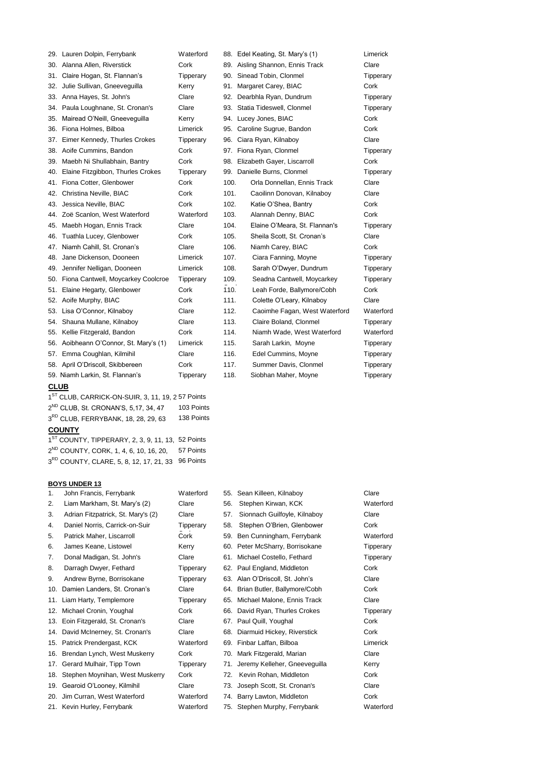| 29. Lauren Dolpin, Ferrybank                                  | Waterford  | 88. Edel Keating, St. Mary's (1)      | Limerick  |
|---------------------------------------------------------------|------------|---------------------------------------|-----------|
| 30. Alanna Allen, Riverstick                                  | Cork       | 89. Aisling Shannon, Ennis Track      | Clare     |
| 31. Claire Hogan, St. Flannan's                               | Tipperary  | 90. Sinead Tobin, Clonmel             | Tipperary |
| 32. Julie Sullivan, Gneeveguilla                              | Kerry      | 91. Margaret Carey, BIAC              | Cork      |
| 33. Anna Hayes, St. John's                                    | Clare      | 92. Dearbhla Ryan, Dundrum            | Tipperary |
| 34. Paula Loughnane, St. Cronan's                             | Clare      | 93. Statia Tideswell, Clonmel         | Tipperary |
| 35. Mairead O'Neill, Gneeveguilla                             | Kerry      | 94. Lucey Jones, BIAC                 | Cork      |
| 36. Fiona Holmes, Bilboa                                      | Limerick   | 95. Caroline Sugrue, Bandon           | Cork      |
| 37. Eimer Kennedy, Thurles Crokes                             | Tipperary  | 96. Ciara Ryan, Kilnaboy              | Clare     |
| 38. Aoife Cummins, Bandon                                     | Cork       | 97. Fiona Ryan, Clonmel               | Tipperary |
| 39. Maebh Ni Shullabhain, Bantry                              | Cork       | 98. Elizabeth Gayer, Liscarroll       | Cork      |
| 40. Elaine Fitzgibbon, Thurles Crokes                         | Tipperary  | 99. Danielle Burns, Clonmel           | Tipperary |
| 41. Fiona Cotter, Glenbower                                   | Cork       | 100.<br>Orla Donnellan, Ennis Track   | Clare     |
| 42. Christina Neville, BIAC                                   | Cork       | 101.<br>Caoilinn Donovan, Kilnaboy    | Clare     |
| 43. Jessica Neville, BIAC                                     | Cork       | Katie O'Shea, Bantry<br>102.          | Cork      |
| 44. Zoë Scanlon, West Waterford                               | Waterford  | Alannah Denny, BIAC<br>103.           | Cork      |
| 45. Maebh Hogan, Ennis Track                                  | Clare      | 104.<br>Elaine O'Meara, St. Flannan's | Tipperary |
| 46. Tuathla Lucey, Glenbower                                  | Cork       | Sheila Scott, St. Cronan's<br>105.    | Clare     |
| 47. Niamh Cahill, St. Cronan's                                | Clare      | 106.<br>Niamh Carey, BIAC             | Cork      |
| 48. Jane Dickenson, Dooneen                                   | Limerick   | 107.<br>Ciara Fanning, Moyne          | Tipperary |
| 49. Jennifer Nelligan, Dooneen                                | Limerick   | 108.<br>Sarah O'Dwyer, Dundrum        | Tipperary |
| 50. Fiona Cantwell, Moycarkey Coolcroe                        | Tipperary  | 109.<br>Seadna Cantwell, Moycarkey    | Tipperary |
| 51. Elaine Hegarty, Glenbower                                 | Cork       | 110.<br>Leah Forde, Ballymore/Cobh    | Cork      |
| 52. Aoife Murphy, BIAC                                        | Cork       | 111.<br>Colette O'Leary, Kilnaboy     | Clare     |
| 53. Lisa O'Connor, Kilnaboy                                   | Clare      | 112.<br>Caoimhe Fagan, West Waterford | Waterford |
| 54. Shauna Mullane, Kilnaboy                                  | Clare      | 113.<br>Claire Boland, Clonmel        | Tipperary |
| 55. Kellie Fitzgerald, Bandon                                 | Cork       | 114.<br>Niamh Wade, West Waterford    | Waterford |
| 56. Aoibheann O'Connor, St. Mary's (1)                        | Limerick   | 115.<br>Sarah Larkin, Moyne           | Tipperary |
| 57. Emma Coughlan, Kilmihil                                   | Clare      | 116.<br>Edel Cummins, Moyne           | Tipperary |
| 58. April O'Driscoll, Skibbereen                              | Cork       | 117.<br>Summer Davis, Clonmel         | Tipperary |
| 59. Niamh Larkin, St. Flannan's                               | Tipperary  | 118.<br>Siobhan Maher, Moyne          | Tipperary |
| <b>CLUB</b>                                                   |            |                                       |           |
| 1 <sup>ST</sup> CLUB, CARRICK-ON-SUIR, 3, 11, 19, 2 57 Points |            |                                       |           |
| 2 <sup>ND</sup> CLUB, St. CRONAN'S, 5,17, 34, 47              | 103 Points |                                       |           |
| 3 <sup>RD</sup> CLUB, FERRYBANK, 18, 28, 29, 63               | 138 Points |                                       |           |
| <b>COUNTY</b>                                                 |            |                                       |           |
| 1 <sup>ST</sup> COUNTY, TIPPERARY, 2, 3, 9, 11, 13,           | 52 Points  |                                       |           |
| 2 <sup>ND</sup> COUNTY, CORK, 1, 4, 6, 10, 16, 20,            | 57 Points  |                                       |           |
| 3 <sup>RD</sup> COUNTY, CLARE, 5, 8, 12, 17, 21, 33           | 96 Points  |                                       |           |
|                                                               |            |                                       |           |
| <b>BOYS UNDER 13</b>                                          |            |                                       |           |
| John Francis, Ferrybank<br>1.                                 | Waterford  | 55. Sean Killeen, Kilnaboy            | Clare     |
| 2.<br>Liam Markham, St. Mary's (2)                            | Clare      | 56.<br>Stephen Kirwan, KCK            | Waterford |
| 3.<br>Adrian Fitzpatrick, St. Mary's (2)                      | Clare      | Sionnach Guilfoyle, Kilnaboy<br>57.   | Clare     |
| 4.<br>Daniel Norris, Carrick-on-Suir                          | Tipperary  | 58.<br>Stephen O'Brien, Glenbower     | Cork      |
| 5.<br>Patrick Maher, Liscarroll                               | Cork       | 59. Ben Cunningham, Ferrybank         | Waterford |
| 6.<br>James Keane, Listowel                                   | Kerry      | 60. Peter McSharry, Borrisokane       | Tipperary |
| 7.<br>Donal Madigan, St. John's                               | Clare      | 61. Michael Costello, Fethard         | Tipperary |

- 
- 
- 
- 
- 
- 
- 
- 
- 21. Kevin Hurley, Ferrybank Waterford 75. Stephen Murphy, Ferrybank Waterford
- 8. Darragh Dwyer, Fethard Tipperary 62. Paul England, Middleton Cork 9. Andrew Byrne, Borrisokane Tipperary 63. Alan O'Driscoll, St. John's Clare 10. Damien Landers, St. Cronan's Clare 64. Brian Butler, Ballymore/Cobh Cork 11. Liam Harty, Templemore Tipperary 65. Michael Malone, Ennis Track Clare 12. Michael Cronin, Youghal Cork 66. David Ryan, Thurles Crokes Tipperary 13. Eoin Fitzgerald, St. Cronan's Clare 67. Paul Quill, Youghal Cork Cork 14. David McInerney, St. Cronan's Clare 68. Diarmuid Hickey, Riverstick Cork 15. Patrick Prendergast, KCK Waterford 69. Finbar Laffan, Bilboa Limerick 16. Brendan Lynch, West Muskerry Cork 70. Mark Fitzgerald, Marian Clare 17. Gerard Mulhair, Tipp Town Tipperary 71. Jeremy Kelleher, Gneeveguilla Kerry 18. Stephen Moynihan, West Muskerry Cork 72. Kevin Rohan, Middleton Cork 19. Gearoid O'Looney, Kilmihil Clare 73. Joseph Scott, St. Cronan's Clare 20. Jim Curran, West Waterford Waterford 74. Barry Lawton, Middleton Cork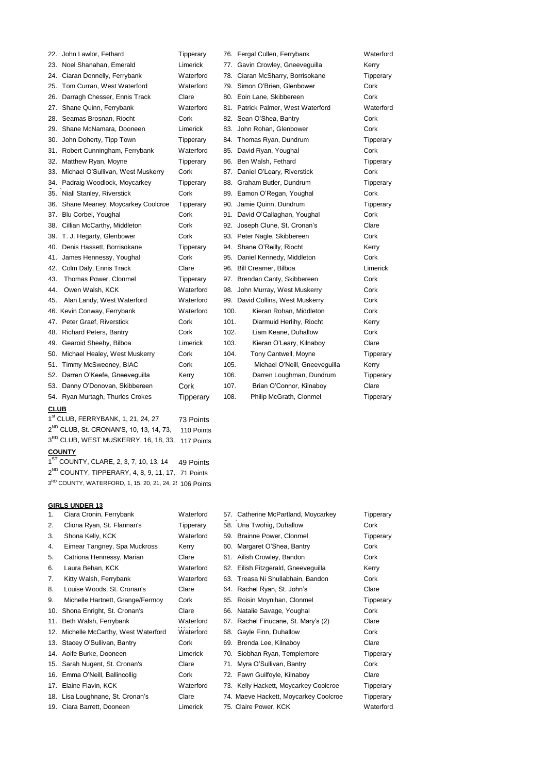|      | 22. John Lawlor, Fethard                       | Tipperary |      | 76. Fergal Cullen, Ferrybank       | Waterford |
|------|------------------------------------------------|-----------|------|------------------------------------|-----------|
|      | 23. Noel Shanahan, Emerald                     | Limerick  |      | 77. Gavin Crowley, Gneeveguilla    | Kerry     |
|      | 24. Ciaran Donnelly, Ferrybank                 | Waterford |      | 78. Ciaran McSharry, Borrisokane   | Tipperary |
|      | 25. Tom Curran, West Waterford                 | Waterford |      | 79. Simon O'Brien, Glenbower       | Cork      |
|      | 26. Darragh Chesser, Ennis Track               | Clare     |      | 80. Eoin Lane, Skibbereen          | Cork      |
| 27.  | Shane Quinn, Ferrybank                         | Waterford |      | 81. Patrick Palmer, West Waterford | Waterford |
| 28.  | Seamas Brosnan, Riocht                         | Cork      |      | 82. Sean O'Shea, Bantry            | Cork      |
|      | 29. Shane McNamara, Dooneen                    | Limerick  |      | 83. John Rohan, Glenbower          | Cork      |
|      | 30. John Doherty, Tipp Town                    | Tipperary |      | 84. Thomas Ryan, Dundrum           | Tipperary |
|      | 31. Robert Cunningham, Ferrybank               | Waterford |      | 85. David Ryan, Youghal            | Cork      |
|      | 32. Matthew Ryan, Moyne                        | Tipperary |      | 86. Ben Walsh, Fethard             | Tipperary |
|      | 33. Michael O'Sullivan, West Muskerry          | Cork      |      | 87. Daniel O'Leary, Riverstick     | Cork      |
|      | 34. Padraig Woodlock, Moycarkey                | Tipperary |      | 88. Graham Butler, Dundrum         | Tipperary |
|      | 35. Niall Stanley, Riverstick                  | Cork      |      | 89. Eamon O'Regan, Youghal         | Cork      |
|      | 36. Shane Meaney, Moycarkey Coolcroe           | Tipperary |      | 90. Jamie Quinn, Dundrum           | Tipperary |
|      | 37. Blu Corbel, Youghal                        | Cork      |      | 91. David O'Callaghan, Youghal     | Cork      |
|      | 38. Cillian McCarthy, Middleton                | Cork      |      | 92. Joseph Clune, St. Cronan's     | Clare     |
|      | 39. T. J. Hegarty, Glenbower                   | Cork      |      | 93. Peter Nagle, Skibbereen        | Cork      |
|      | 40. Denis Hassett, Borrisokane                 | Tipperary |      | 94. Shane O'Reilly, Riocht         | Kerry     |
|      | 41. James Hennessy, Youghal                    | Cork      |      | 95. Daniel Kennedy, Middleton      | Cork      |
|      | 42. Colm Daly, Ennis Track                     | Clare     |      | 96. Bill Creamer, Bilboa           | Limerick  |
| 43.  | Thomas Power, Clonmel                          | Tipperary |      | 97. Brendan Canty, Skibbereen      | Cork      |
| 44.  | Owen Walsh, KCK                                | Waterford |      | 98. John Murray, West Muskerry     | Cork      |
| 45.  | Alan Landy, West Waterford                     | Waterford |      | 99. David Collins, West Muskerry   | Cork      |
|      | 46. Kevin Conway, Ferrybank                    | Waterford | 100. | Kieran Rohan, Middleton            | Cork      |
|      | 47. Peter Graef, Riverstick                    | Cork      | 101. | Diarmuid Herlihy, Riocht           | Kerry     |
|      | 48. Richard Peters, Bantry                     | Cork      | 102. | Liam Keane, Duhallow               | Cork      |
|      | 49. Gearoid Sheehy, Bilboa                     | Limerick  | 103. | Kieran O'Leary, Kilnaboy           | Clare     |
|      | 50. Michael Healey, West Muskerry              | Cork      | 104. | Tony Cantwell, Moyne               | Tipperary |
|      | 51. Timmy McSweeney, BIAC                      | Cork      | 105. | Michael O'Neill, Gneeveguilla      | Kerry     |
|      | 52. Darren O'Keefe, Gneeveguilla               | Kerry     | 106. | Darren Loughman, Dundrum           | Tipperary |
|      | 53. Danny O'Donovan, Skibbereen                | Cork      | 107. | Brian O'Connor, Kilnaboy           | Clare     |
|      | 54. Ryan Murtagh, Thurles Crokes               | Tipperary | 108. | Philip McGrath, Clonmel            | Tipperary |
| CLUB |                                                |           |      |                                    |           |
|      | 1 <sup>st</sup> CLUB, FERRYBANK, 1, 21, 24, 27 | 73 Points |      |                                    |           |

2 ND CLUB, St. CRONAN'S, 10, 13, 14, 73, 110 Points 3<sup>RD</sup> CLUB, WEST MUSKERRY, 16, 18, 33, 117 Points

### **COUNTY**

1<sup>ST</sup> COUNTY, CLARE, 2, 3, 7, 10, 13, 14 49 Points 2<sup>ND</sup> COUNTY, TIPPERARY, 4, 8, 9, 11, 17, 71 Points 3<sup>RD</sup> COUNTY, WATERFORD, 1, 15, 20, 21, 24, 2<sup>1</sup> 106 Points

| 1.  | Ciara Cronin, Ferrybank               | Waterford | 57. Catherine McPartland, Moycarkey   | Tipperary |
|-----|---------------------------------------|-----------|---------------------------------------|-----------|
| 2.  | Cliona Ryan, St. Flannan's            | Tipperary | 58. Una Twohig, Duhallow              | Cork      |
| 3.  | Shona Kelly, KCK                      | Waterford | 59. Brainne Power, Clonmel            | Tipperary |
| 4.  | Eimear Tangney, Spa Muckross          | Kerry     | 60. Margaret O'Shea, Bantry           | Cork      |
| 5.  | Catriona Hennessy, Marian             | Clare     | 61. Ailish Crowley, Bandon            | Cork      |
| 6.  | Laura Behan, KCK                      | Waterford | 62. Eilish Fitzgerald, Gneeveguilla   | Kerry     |
| 7.  | Kitty Walsh, Ferrybank                | Waterford | 63. Treasa Ni Shullabhain, Bandon     | Cork      |
| 8.  | Louise Woods, St. Cronan's            | Clare     | 64. Rachel Ryan, St. John's           | Clare     |
| 9.  | Michelle Hartnett, Grange/Fermoy      | Cork      | 65. Roisin Moynihan, Clonmel          | Tipperary |
| 10. | Shona Enright, St. Cronan's           | Clare     | 66. Natalie Savage, Youghal           | Cork      |
|     | 11. Beth Walsh, Ferrybank             | Waterford | 67. Rachel Finucane, St. Mary's (2)   | Clare     |
|     | 12. Michelle McCarthy, West Waterford | Waterford | 68. Gayle Finn, Duhallow              | Cork      |
|     | 13. Stacey O'Sullivan, Bantry         | Cork      | 69. Brenda Lee, Kilnaboy              | Clare     |
|     | 14. Aoife Burke, Dooneen              | Limerick  | 70. Siobhan Ryan, Templemore          | Tipperary |
|     | 15. Sarah Nugent, St. Cronan's        | Clare     | 71. Myra O'Sullivan, Bantry           | Cork      |
|     | 16. Emma O'Neill, Ballincollig        | Cork      | 72. Fawn Guilfoyle, Kilnaboy          | Clare     |
|     | 17. Elaine Flavin, KCK                | Waterford | 73. Kelly Hackett, Moycarkey Coolcroe | Tipperary |
|     | 18. Lisa Loughnane, St. Cronan's      | Clare     | 74. Maeve Hackett, Moycarkey Coolcroe | Tipperary |
|     | 19. Ciara Barrett, Dooneen            | Limerick  | 75. Claire Power, KCK                 | Waterford |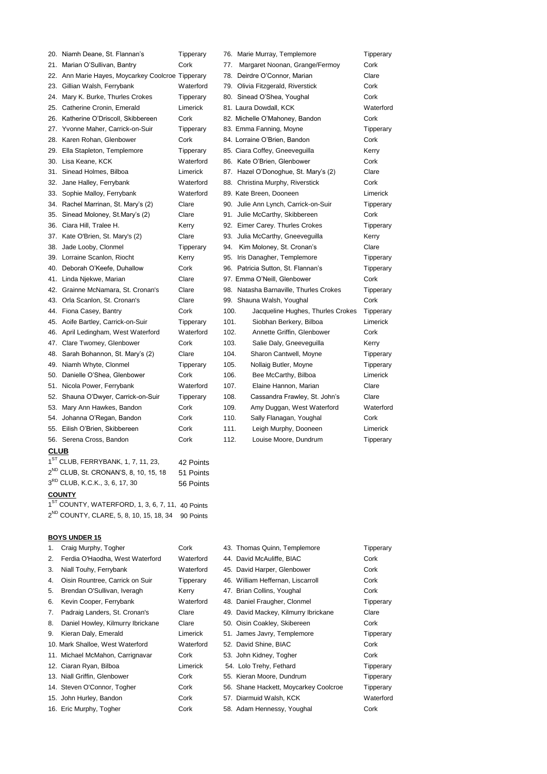| 20. Niamh Deane, St. Flannan's | Tipperary                                                                                                                                                                                                                                                                                                                                                                                                                                                                                                                                                                                                                                                                                                                                                                                                                                                                                                                                                                                                                                                                                                                                                                                                                                                                                                                                            |                                                   |                                   | Tipperary                                                                                                                                                                                                                                                                                                                                                                                                                                                                                                                                                                                                                                                                                                                                                                                                                                                                                             |
|--------------------------------|------------------------------------------------------------------------------------------------------------------------------------------------------------------------------------------------------------------------------------------------------------------------------------------------------------------------------------------------------------------------------------------------------------------------------------------------------------------------------------------------------------------------------------------------------------------------------------------------------------------------------------------------------------------------------------------------------------------------------------------------------------------------------------------------------------------------------------------------------------------------------------------------------------------------------------------------------------------------------------------------------------------------------------------------------------------------------------------------------------------------------------------------------------------------------------------------------------------------------------------------------------------------------------------------------------------------------------------------------|---------------------------------------------------|-----------------------------------|-------------------------------------------------------------------------------------------------------------------------------------------------------------------------------------------------------------------------------------------------------------------------------------------------------------------------------------------------------------------------------------------------------------------------------------------------------------------------------------------------------------------------------------------------------------------------------------------------------------------------------------------------------------------------------------------------------------------------------------------------------------------------------------------------------------------------------------------------------------------------------------------------------|
|                                | Cork                                                                                                                                                                                                                                                                                                                                                                                                                                                                                                                                                                                                                                                                                                                                                                                                                                                                                                                                                                                                                                                                                                                                                                                                                                                                                                                                                 | 77.                                               | Margaret Noonan, Grange/Fermoy    | Cork                                                                                                                                                                                                                                                                                                                                                                                                                                                                                                                                                                                                                                                                                                                                                                                                                                                                                                  |
|                                |                                                                                                                                                                                                                                                                                                                                                                                                                                                                                                                                                                                                                                                                                                                                                                                                                                                                                                                                                                                                                                                                                                                                                                                                                                                                                                                                                      |                                                   |                                   | Clare                                                                                                                                                                                                                                                                                                                                                                                                                                                                                                                                                                                                                                                                                                                                                                                                                                                                                                 |
|                                | Waterford                                                                                                                                                                                                                                                                                                                                                                                                                                                                                                                                                                                                                                                                                                                                                                                                                                                                                                                                                                                                                                                                                                                                                                                                                                                                                                                                            |                                                   |                                   | Cork                                                                                                                                                                                                                                                                                                                                                                                                                                                                                                                                                                                                                                                                                                                                                                                                                                                                                                  |
|                                | Tipperary                                                                                                                                                                                                                                                                                                                                                                                                                                                                                                                                                                                                                                                                                                                                                                                                                                                                                                                                                                                                                                                                                                                                                                                                                                                                                                                                            |                                                   |                                   | Cork                                                                                                                                                                                                                                                                                                                                                                                                                                                                                                                                                                                                                                                                                                                                                                                                                                                                                                  |
|                                | Limerick                                                                                                                                                                                                                                                                                                                                                                                                                                                                                                                                                                                                                                                                                                                                                                                                                                                                                                                                                                                                                                                                                                                                                                                                                                                                                                                                             |                                                   |                                   | Waterford                                                                                                                                                                                                                                                                                                                                                                                                                                                                                                                                                                                                                                                                                                                                                                                                                                                                                             |
|                                | Cork                                                                                                                                                                                                                                                                                                                                                                                                                                                                                                                                                                                                                                                                                                                                                                                                                                                                                                                                                                                                                                                                                                                                                                                                                                                                                                                                                 |                                                   |                                   | Cork                                                                                                                                                                                                                                                                                                                                                                                                                                                                                                                                                                                                                                                                                                                                                                                                                                                                                                  |
|                                | Tipperary                                                                                                                                                                                                                                                                                                                                                                                                                                                                                                                                                                                                                                                                                                                                                                                                                                                                                                                                                                                                                                                                                                                                                                                                                                                                                                                                            |                                                   |                                   | Tipperary                                                                                                                                                                                                                                                                                                                                                                                                                                                                                                                                                                                                                                                                                                                                                                                                                                                                                             |
|                                | Cork                                                                                                                                                                                                                                                                                                                                                                                                                                                                                                                                                                                                                                                                                                                                                                                                                                                                                                                                                                                                                                                                                                                                                                                                                                                                                                                                                 |                                                   |                                   | Cork                                                                                                                                                                                                                                                                                                                                                                                                                                                                                                                                                                                                                                                                                                                                                                                                                                                                                                  |
|                                | Tipperary                                                                                                                                                                                                                                                                                                                                                                                                                                                                                                                                                                                                                                                                                                                                                                                                                                                                                                                                                                                                                                                                                                                                                                                                                                                                                                                                            |                                                   |                                   | Kerry                                                                                                                                                                                                                                                                                                                                                                                                                                                                                                                                                                                                                                                                                                                                                                                                                                                                                                 |
|                                | Waterford                                                                                                                                                                                                                                                                                                                                                                                                                                                                                                                                                                                                                                                                                                                                                                                                                                                                                                                                                                                                                                                                                                                                                                                                                                                                                                                                            |                                                   |                                   | Cork                                                                                                                                                                                                                                                                                                                                                                                                                                                                                                                                                                                                                                                                                                                                                                                                                                                                                                  |
|                                | Limerick                                                                                                                                                                                                                                                                                                                                                                                                                                                                                                                                                                                                                                                                                                                                                                                                                                                                                                                                                                                                                                                                                                                                                                                                                                                                                                                                             |                                                   |                                   | Clare                                                                                                                                                                                                                                                                                                                                                                                                                                                                                                                                                                                                                                                                                                                                                                                                                                                                                                 |
|                                | Waterford                                                                                                                                                                                                                                                                                                                                                                                                                                                                                                                                                                                                                                                                                                                                                                                                                                                                                                                                                                                                                                                                                                                                                                                                                                                                                                                                            |                                                   |                                   | Cork                                                                                                                                                                                                                                                                                                                                                                                                                                                                                                                                                                                                                                                                                                                                                                                                                                                                                                  |
|                                | Waterford                                                                                                                                                                                                                                                                                                                                                                                                                                                                                                                                                                                                                                                                                                                                                                                                                                                                                                                                                                                                                                                                                                                                                                                                                                                                                                                                            |                                                   |                                   | Limerick                                                                                                                                                                                                                                                                                                                                                                                                                                                                                                                                                                                                                                                                                                                                                                                                                                                                                              |
|                                | Clare                                                                                                                                                                                                                                                                                                                                                                                                                                                                                                                                                                                                                                                                                                                                                                                                                                                                                                                                                                                                                                                                                                                                                                                                                                                                                                                                                |                                                   |                                   | Tipperary                                                                                                                                                                                                                                                                                                                                                                                                                                                                                                                                                                                                                                                                                                                                                                                                                                                                                             |
|                                | Clare                                                                                                                                                                                                                                                                                                                                                                                                                                                                                                                                                                                                                                                                                                                                                                                                                                                                                                                                                                                                                                                                                                                                                                                                                                                                                                                                                |                                                   |                                   | Cork                                                                                                                                                                                                                                                                                                                                                                                                                                                                                                                                                                                                                                                                                                                                                                                                                                                                                                  |
|                                | Kerry                                                                                                                                                                                                                                                                                                                                                                                                                                                                                                                                                                                                                                                                                                                                                                                                                                                                                                                                                                                                                                                                                                                                                                                                                                                                                                                                                |                                                   |                                   | Tipperary                                                                                                                                                                                                                                                                                                                                                                                                                                                                                                                                                                                                                                                                                                                                                                                                                                                                                             |
|                                | Clare                                                                                                                                                                                                                                                                                                                                                                                                                                                                                                                                                                                                                                                                                                                                                                                                                                                                                                                                                                                                                                                                                                                                                                                                                                                                                                                                                |                                                   |                                   | Kerry                                                                                                                                                                                                                                                                                                                                                                                                                                                                                                                                                                                                                                                                                                                                                                                                                                                                                                 |
|                                | Tipperary                                                                                                                                                                                                                                                                                                                                                                                                                                                                                                                                                                                                                                                                                                                                                                                                                                                                                                                                                                                                                                                                                                                                                                                                                                                                                                                                            |                                                   |                                   | Clare                                                                                                                                                                                                                                                                                                                                                                                                                                                                                                                                                                                                                                                                                                                                                                                                                                                                                                 |
|                                | Kerry                                                                                                                                                                                                                                                                                                                                                                                                                                                                                                                                                                                                                                                                                                                                                                                                                                                                                                                                                                                                                                                                                                                                                                                                                                                                                                                                                |                                                   |                                   | Tipperary                                                                                                                                                                                                                                                                                                                                                                                                                                                                                                                                                                                                                                                                                                                                                                                                                                                                                             |
|                                | Cork                                                                                                                                                                                                                                                                                                                                                                                                                                                                                                                                                                                                                                                                                                                                                                                                                                                                                                                                                                                                                                                                                                                                                                                                                                                                                                                                                 |                                                   |                                   | Tipperary                                                                                                                                                                                                                                                                                                                                                                                                                                                                                                                                                                                                                                                                                                                                                                                                                                                                                             |
|                                | Clare                                                                                                                                                                                                                                                                                                                                                                                                                                                                                                                                                                                                                                                                                                                                                                                                                                                                                                                                                                                                                                                                                                                                                                                                                                                                                                                                                |                                                   |                                   | Cork                                                                                                                                                                                                                                                                                                                                                                                                                                                                                                                                                                                                                                                                                                                                                                                                                                                                                                  |
|                                | Clare                                                                                                                                                                                                                                                                                                                                                                                                                                                                                                                                                                                                                                                                                                                                                                                                                                                                                                                                                                                                                                                                                                                                                                                                                                                                                                                                                |                                                   |                                   | Tipperary                                                                                                                                                                                                                                                                                                                                                                                                                                                                                                                                                                                                                                                                                                                                                                                                                                                                                             |
|                                | Clare                                                                                                                                                                                                                                                                                                                                                                                                                                                                                                                                                                                                                                                                                                                                                                                                                                                                                                                                                                                                                                                                                                                                                                                                                                                                                                                                                |                                                   |                                   | Cork                                                                                                                                                                                                                                                                                                                                                                                                                                                                                                                                                                                                                                                                                                                                                                                                                                                                                                  |
|                                | Cork                                                                                                                                                                                                                                                                                                                                                                                                                                                                                                                                                                                                                                                                                                                                                                                                                                                                                                                                                                                                                                                                                                                                                                                                                                                                                                                                                 |                                                   | Jacqueline Hughes, Thurles Crokes | Tipperary                                                                                                                                                                                                                                                                                                                                                                                                                                                                                                                                                                                                                                                                                                                                                                                                                                                                                             |
|                                | Tipperary                                                                                                                                                                                                                                                                                                                                                                                                                                                                                                                                                                                                                                                                                                                                                                                                                                                                                                                                                                                                                                                                                                                                                                                                                                                                                                                                            |                                                   | Siobhan Berkery, Bilboa           | Limerick                                                                                                                                                                                                                                                                                                                                                                                                                                                                                                                                                                                                                                                                                                                                                                                                                                                                                              |
|                                | Waterford                                                                                                                                                                                                                                                                                                                                                                                                                                                                                                                                                                                                                                                                                                                                                                                                                                                                                                                                                                                                                                                                                                                                                                                                                                                                                                                                            |                                                   | Annette Griffin, Glenbower        | Cork                                                                                                                                                                                                                                                                                                                                                                                                                                                                                                                                                                                                                                                                                                                                                                                                                                                                                                  |
|                                | Cork                                                                                                                                                                                                                                                                                                                                                                                                                                                                                                                                                                                                                                                                                                                                                                                                                                                                                                                                                                                                                                                                                                                                                                                                                                                                                                                                                 |                                                   | Salie Daly, Gneeveguilla          | Kerry                                                                                                                                                                                                                                                                                                                                                                                                                                                                                                                                                                                                                                                                                                                                                                                                                                                                                                 |
|                                | Clare                                                                                                                                                                                                                                                                                                                                                                                                                                                                                                                                                                                                                                                                                                                                                                                                                                                                                                                                                                                                                                                                                                                                                                                                                                                                                                                                                |                                                   | Sharon Cantwell, Moyne            | Tipperary                                                                                                                                                                                                                                                                                                                                                                                                                                                                                                                                                                                                                                                                                                                                                                                                                                                                                             |
|                                | Tipperary                                                                                                                                                                                                                                                                                                                                                                                                                                                                                                                                                                                                                                                                                                                                                                                                                                                                                                                                                                                                                                                                                                                                                                                                                                                                                                                                            |                                                   | Nollaig Butler, Moyne             | Tipperary                                                                                                                                                                                                                                                                                                                                                                                                                                                                                                                                                                                                                                                                                                                                                                                                                                                                                             |
|                                | Cork                                                                                                                                                                                                                                                                                                                                                                                                                                                                                                                                                                                                                                                                                                                                                                                                                                                                                                                                                                                                                                                                                                                                                                                                                                                                                                                                                 |                                                   | Bee McCarthy, Bilboa              | Limerick                                                                                                                                                                                                                                                                                                                                                                                                                                                                                                                                                                                                                                                                                                                                                                                                                                                                                              |
|                                | Waterford                                                                                                                                                                                                                                                                                                                                                                                                                                                                                                                                                                                                                                                                                                                                                                                                                                                                                                                                                                                                                                                                                                                                                                                                                                                                                                                                            |                                                   | Elaine Hannon, Marian             | Clare                                                                                                                                                                                                                                                                                                                                                                                                                                                                                                                                                                                                                                                                                                                                                                                                                                                                                                 |
|                                | Tipperary                                                                                                                                                                                                                                                                                                                                                                                                                                                                                                                                                                                                                                                                                                                                                                                                                                                                                                                                                                                                                                                                                                                                                                                                                                                                                                                                            |                                                   | Cassandra Frawley, St. John's     | Clare                                                                                                                                                                                                                                                                                                                                                                                                                                                                                                                                                                                                                                                                                                                                                                                                                                                                                                 |
|                                | Cork                                                                                                                                                                                                                                                                                                                                                                                                                                                                                                                                                                                                                                                                                                                                                                                                                                                                                                                                                                                                                                                                                                                                                                                                                                                                                                                                                 |                                                   | Amy Duggan, West Waterford        | Waterford                                                                                                                                                                                                                                                                                                                                                                                                                                                                                                                                                                                                                                                                                                                                                                                                                                                                                             |
|                                | Cork                                                                                                                                                                                                                                                                                                                                                                                                                                                                                                                                                                                                                                                                                                                                                                                                                                                                                                                                                                                                                                                                                                                                                                                                                                                                                                                                                 |                                                   | Sally Flanagan, Youghal           | Cork                                                                                                                                                                                                                                                                                                                                                                                                                                                                                                                                                                                                                                                                                                                                                                                                                                                                                                  |
|                                | Cork                                                                                                                                                                                                                                                                                                                                                                                                                                                                                                                                                                                                                                                                                                                                                                                                                                                                                                                                                                                                                                                                                                                                                                                                                                                                                                                                                 |                                                   | Leigh Murphy, Dooneen             | Limerick                                                                                                                                                                                                                                                                                                                                                                                                                                                                                                                                                                                                                                                                                                                                                                                                                                                                                              |
|                                | Cork                                                                                                                                                                                                                                                                                                                                                                                                                                                                                                                                                                                                                                                                                                                                                                                                                                                                                                                                                                                                                                                                                                                                                                                                                                                                                                                                                 |                                                   | Louise Moore, Dundrum             | Tipperary                                                                                                                                                                                                                                                                                                                                                                                                                                                                                                                                                                                                                                                                                                                                                                                                                                                                                             |
|                                |                                                                                                                                                                                                                                                                                                                                                                                                                                                                                                                                                                                                                                                                                                                                                                                                                                                                                                                                                                                                                                                                                                                                                                                                                                                                                                                                                      |                                                   |                                   |                                                                                                                                                                                                                                                                                                                                                                                                                                                                                                                                                                                                                                                                                                                                                                                                                                                                                                       |
|                                | 42 Points                                                                                                                                                                                                                                                                                                                                                                                                                                                                                                                                                                                                                                                                                                                                                                                                                                                                                                                                                                                                                                                                                                                                                                                                                                                                                                                                            |                                                   |                                   |                                                                                                                                                                                                                                                                                                                                                                                                                                                                                                                                                                                                                                                                                                                                                                                                                                                                                                       |
|                                | 51 Points                                                                                                                                                                                                                                                                                                                                                                                                                                                                                                                                                                                                                                                                                                                                                                                                                                                                                                                                                                                                                                                                                                                                                                                                                                                                                                                                            |                                                   |                                   |                                                                                                                                                                                                                                                                                                                                                                                                                                                                                                                                                                                                                                                                                                                                                                                                                                                                                                       |
|                                | 56 Points                                                                                                                                                                                                                                                                                                                                                                                                                                                                                                                                                                                                                                                                                                                                                                                                                                                                                                                                                                                                                                                                                                                                                                                                                                                                                                                                            |                                                   |                                   |                                                                                                                                                                                                                                                                                                                                                                                                                                                                                                                                                                                                                                                                                                                                                                                                                                                                                                       |
|                                | 21. Marian O'Sullivan, Bantry<br>23. Gillian Walsh, Ferrybank<br>24. Mary K. Burke, Thurles Crokes<br>25. Catherine Cronin, Emerald<br>26. Katherine O'Driscoll, Skibbereen<br>27. Yvonne Maher, Carrick-on-Suir<br>28. Karen Rohan, Glenbower<br>29. Ella Stapleton, Templemore<br>30. Lisa Keane, KCK<br>31. Sinead Holmes, Bilboa<br>32. Jane Halley, Ferrybank<br>33. Sophie Malloy, Ferrybank<br>34. Rachel Marrinan, St. Mary's (2)<br>35. Sinead Moloney, St.Mary's (2)<br>36. Ciara Hill, Tralee H.<br>37. Kate O'Brien, St. Mary's (2)<br>38. Jade Looby, Clonmel<br>39. Lorraine Scanlon, Riocht<br>40. Deborah O'Keefe, Duhallow<br>41. Linda Njekwe, Marian<br>42. Grainne McNamara, St. Cronan's<br>43. Orla Scanlon, St. Cronan's<br>44. Fiona Casey, Bantry<br>45. Aoife Bartley, Carrick-on-Suir<br>46. April Ledingham, West Waterford<br>47. Clare Twomey, Glenbower<br>48. Sarah Bohannon, St. Mary's (2)<br>49. Niamh Whyte, Clonmel<br>50. Danielle O'Shea, Glenbower<br>51. Nicola Power, Ferrybank<br>52. Shauna O'Dwyer, Carrick-on-Suir<br>53. Mary Ann Hawkes, Bandon<br>54. Johanna O'Regan, Bandon<br>55. Eilish O'Brien, Skibbereen<br>56. Serena Cross, Bandon<br><b>CLUB</b><br>1 <sup>ST</sup> CLUB, FERRYBANK, 1, 7, 11, 23,<br>2 <sup>ND</sup> CLUB, St. CRONAN'S, 8, 10, 15, 18<br>3RD CLUB, K.C.K., 3, 6, 17, 30 | 22. Ann Marie Hayes, Moycarkey Coolcroe Tipperary |                                   | 76. Marie Murray, Templemore<br>78. Deirdre O'Connor, Marian<br>79. Olivia Fitzgerald, Riverstick<br>80. Sinead O'Shea, Youghal<br>81. Laura Dowdall, KCK<br>82. Michelle O'Mahoney, Bandon<br>83. Emma Fanning, Moyne<br>84. Lorraine O'Brien, Bandon<br>85. Ciara Coffey, Gneeveguilla<br>86. Kate O'Brien, Glenbower<br>87. Hazel O'Donoghue, St. Mary's (2)<br>88. Christina Murphy, Riverstick<br>89. Kate Breen, Dooneen<br>90. Julie Ann Lynch, Carrick-on-Suir<br>91. Julie McCarthy, Skibbereen<br>92. Eimer Carey. Thurles Crokes<br>93. Julia McCarthy, Gneeveguilla<br>94. Kim Moloney, St. Cronan's<br>95. Iris Danagher, Templemore<br>96. Patricia Sutton, St. Flannan's<br>97. Emma O'Neill, Glenbower<br>98. Natasha Barnaville, Thurles Crokes<br>99. Shauna Walsh, Youghal<br>100.<br>101.<br>102.<br>103.<br>104.<br>105.<br>106.<br>107.<br>108.<br>109.<br>110.<br>111.<br>112. |

## **COUNTY**

1<sup>ST</sup> COUNTY, WATERFORD, 1, 3, 6, 7, 11, 40 Points 2 ND COUNTY, CLARE, 5, 8, 10, 15, 18, 34 90 Points

## **BOYS UNDER 15**

| 1. | Craig Murphy, Togher              | Cork      | 43. Thomas Quinn, Templemore          | Tipperary |
|----|-----------------------------------|-----------|---------------------------------------|-----------|
| 2. | Ferdia O'Haodha, West Waterford   | Waterford | 44. David McAuliffe, BIAC             | Cork      |
| 3. | Niall Touhy, Ferrybank            | Waterford | 45. David Harper, Glenbower           | Cork      |
| 4. | Oisin Rountree, Carrick on Suir   | Tipperary | 46. William Heffernan, Liscarroll     | Cork      |
| 5. | Brendan O'Sullivan, Iveragh       | Kerry     | 47. Brian Collins, Youghal            | Cork      |
| 6. | Kevin Cooper, Ferrybank           | Waterford | 48. Daniel Fraugher, Clonmel          | Tipperary |
| 7. | Padraig Landers, St. Cronan's     | Clare     | 49. David Mackey, Kilmurry Ibrickane  | Clare     |
| 8. | Daniel Howley, Kilmurry Ibrickane | Clare     | 50. Oisin Coakley, Skibereen          | Cork      |
| 9. | Kieran Daly, Emerald              | Limerick  | 51. James Javry, Templemore           | Tipperary |
|    | 10. Mark Shalloe, West Waterford  | Waterford | 52. David Shine, BIAC                 | Cork      |
|    | 11. Michael McMahon, Carrignavar  | Cork      | 53. John Kidney, Togher               | Cork      |
|    | 12. Ciaran Ryan, Bilboa           | Limerick  | 54. Lolo Trehy, Fethard               | Tipperary |
|    | 13. Niall Griffin, Glenbower      | Cork      | 55. Kieran Moore, Dundrum             | Tipperary |
|    | 14. Steven O'Connor, Togher       | Cork      | 56. Shane Hackett, Moycarkey Coolcroe | Tipperary |
|    | 15. John Hurley, Bandon           | Cork      | 57. Diarmuid Walsh, KCK               | Waterford |
|    | 16. Eric Murphy, Togher           | Cork      | 58. Adam Hennessy, Youghal            | Cork      |
|    |                                   |           |                                       |           |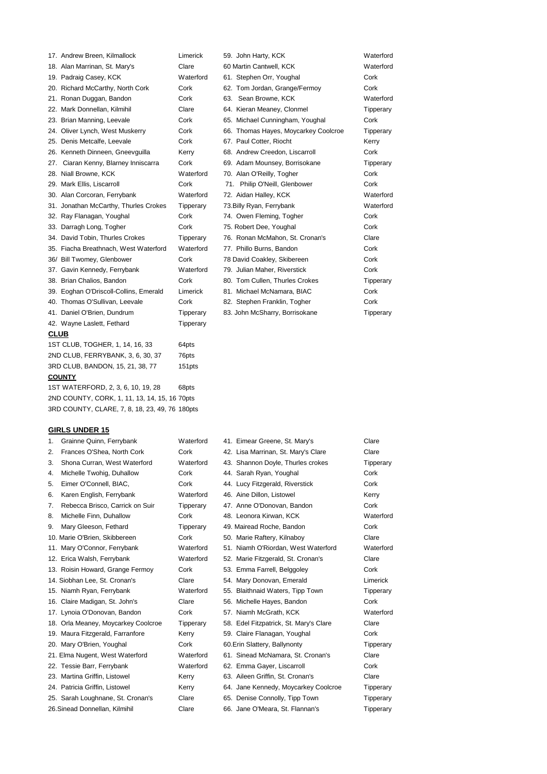| 17. Andrew Breen, Kilmallock           | Limerick  | 59. John Harty, KCK                  | Waterford |
|----------------------------------------|-----------|--------------------------------------|-----------|
| 18. Alan Marrinan, St. Mary's          | Clare     | 60 Martin Cantwell, KCK              | Waterford |
| 19. Padraig Casey, KCK                 | Waterford | 61. Stephen Orr, Youghal             | Cork      |
| 20. Richard McCarthy, North Cork       | Cork      | 62. Tom Jordan, Grange/Fermoy        | Cork      |
| 21. Ronan Duggan, Bandon               | Cork      | 63. Sean Browne, KCK                 | Waterford |
| 22. Mark Donnellan, Kilmihil           | Clare     | 64. Kieran Meaney, Clonmel           | Tipperary |
| 23. Brian Manning, Leevale             | Cork      | 65. Michael Cunningham, Youghal      | Cork      |
| 24. Oliver Lynch, West Muskerry        | Cork      | 66. Thomas Hayes, Moycarkey Coolcroe | Tipperary |
| 25. Denis Metcalfe, Leevale            | Cork      | 67. Paul Cotter, Riocht              | Kerry     |
| 26. Kenneth Dinneen, Gneevguilla       | Kerry     | 68. Andrew Creedon, Liscarroll       | Cork      |
| 27. Ciaran Kenny, Blarney Inniscarra   | Cork      | 69. Adam Mounsey, Borrisokane        | Tipperary |
| 28. Niall Browne, KCK                  | Waterford | 70. Alan O'Reilly, Togher            | Cork      |
| 29. Mark Ellis, Liscarroll             | Cork      | 71. Philip O'Neill, Glenbower        | Cork      |
| 30. Alan Corcoran, Ferrybank           | Waterford | 72. Aidan Halley, KCK                | Waterford |
| 31. Jonathan McCarthy, Thurles Crokes  | Tipperary | 73. Billy Ryan, Ferrybank            | Waterford |
| 32. Ray Flanagan, Youghal              | Cork      | 74. Owen Fleming, Togher             | Cork      |
| 33. Darragh Long, Togher               | Cork      | 75. Robert Dee, Youghal              | Cork      |
| 34. David Tobin, Thurles Crokes        | Tipperary | 76. Ronan McMahon, St. Cronan's      | Clare     |
| 35. Fiacha Breathnach, West Waterford  | Waterford | 77. Phillo Burns, Bandon             | Cork      |
| 36/ Bill Twomey, Glenbower             | Cork      | 78 David Coakley, Skibereen          | Cork      |
| 37. Gavin Kennedy, Ferrybank           | Waterford | 79. Julian Maher, Riverstick         | Cork      |
| 38. Brian Chalios, Bandon              | Cork      | 80. Tom Cullen, Thurles Crokes       | Tipperary |
| 39. Eoghan O'Driscoll-Collins, Emerald | Limerick  | 81. Michael McNamara, BIAC           | Cork      |
| 40. Thomas O'Sullivan, Leevale         | Cork      | 82. Stephen Franklin, Togher         | Cork      |
| 41. Daniel O'Brien, Dundrum            | Tipperary | 83. John McSharry, Borrisokane       | Tipperary |
| 42. Wayne Laslett, Fethard             | Tipperary |                                      |           |

## **CLUB**

| 1ST CLUB, TOGHER, 1, 14, 16, 33   | 64pts              |
|-----------------------------------|--------------------|
| 2ND CLUB. FERRYBANK, 3, 6, 30, 37 | 76pts              |
| 3RD CLUB, BANDON, 15, 21, 38, 77  | 151 <sub>pts</sub> |
| <b>COUNTY</b>                     |                    |

1ST WATERFORD, 2, 3, 6, 10, 19, 28 68pts 2ND COUNTY, CORK, 1, 11, 13, 14, 15, 16, 70pts 3RD COUNTY, CLARE, 7, 8, 18, 23, 49, 76 180pts

| 1. | Grainne Quinn, Ferrybank            | Waterford | 41. Eimear Greene, St. Mary's          | Clare     |
|----|-------------------------------------|-----------|----------------------------------------|-----------|
| 2. | Frances O'Shea, North Cork          | Cork      | 42. Lisa Marrinan, St. Mary's Clare    | Clare     |
| 3. | Shona Curran, West Waterford        | Waterford | 43. Shannon Doyle, Thurles crokes      | Tipperary |
| 4. | Michelle Twohig, Duhallow           | Cork      | 44. Sarah Ryan, Youghal                | Cork      |
| 5. | Eimer O'Connell, BIAC,              | Cork      | 44. Lucy Fitzgerald, Riverstick        | Cork      |
| 6. | Karen English, Ferrybank            | Waterford | 46. Aine Dillon, Listowel              | Kerry     |
| 7. | Rebecca Brisco, Carrick on Suir     | Tipperary | 47. Anne O'Donovan, Bandon             | Cork      |
| 8. | Michelle Finn, Duhallow             | Cork      | 48. Leonora Kirwan, KCK                | Waterford |
| 9. | Mary Gleeson, Fethard               | Tipperary | 49. Mairead Roche, Bandon              | Cork      |
|    | 10. Marie O'Brien, Skibbereen       | Cork      | 50. Marie Raftery, Kilnaboy            | Clare     |
|    | 11. Mary O'Connor, Ferrybank        | Waterford | 51. Niamh O'Riordan, West Waterford    | Waterford |
|    | 12. Erica Walsh, Ferrybank          | Waterford | 52. Marie Fitzgerald, St. Cronan's     | Clare     |
|    | 13. Roisin Howard, Grange Fermoy    | Cork      | 53. Emma Farrell, Belggoley            | Cork      |
|    | 14. Siobhan Lee, St. Cronan's       | Clare     | 54. Mary Donovan, Emerald              | Limerick  |
|    | 15. Niamh Ryan, Ferrybank           | Waterford | 55. Blaithnaid Waters, Tipp Town       | Tipperary |
|    | 16. Claire Madigan, St. John's      | Clare     | 56. Michelle Hayes, Bandon             | Cork      |
|    | 17. Lynoia O'Donovan, Bandon        | Cork      | 57. Niamh McGrath, KCK                 | Waterford |
|    | 18. Orla Meaney, Moycarkey Coolcroe | Tipperary | 58. Edel Fitzpatrick, St. Mary's Clare | Clare     |
|    | 19. Maura Fitzgerald, Farranfore    | Kerry     | 59. Claire Flanagan, Youghal           | Cork      |
|    | 20. Mary O'Brien, Youghal           | Cork      | 60. Erin Slattery, Ballynonty          | Tipperary |
|    | 21. Elma Nugent, West Waterford     | Waterford | 61. Sinead McNamara, St. Cronan's      | Clare     |
|    | 22. Tessie Barr, Ferrybank          | Waterford | 62. Emma Gayer, Liscarroll             | Cork      |
|    | 23. Martina Griffin, Listowel       | Kerry     | 63. Aileen Griffin, St. Cronan's       | Clare     |
|    | 24. Patricia Griffin, Listowel      | Kerry     | 64. Jane Kennedy, Moycarkey Coolcroe   | Tipperary |
|    | 25. Sarah Loughnane, St. Cronan's   | Clare     | 65. Denise Connolly, Tipp Town         | Tipperary |
|    | 26. Sinead Donnellan, Kilmihil      | Clare     | 66. Jane O'Meara, St. Flannan's        | Tipperary |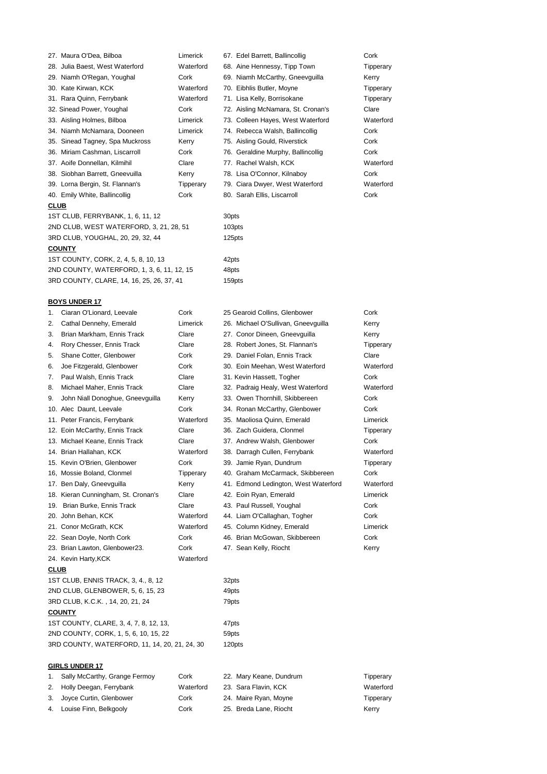| 27. Maura O'Dea, Bilboa         | Limerick  | 67. Edel Barrett, Ballincollig     | Cork      |
|---------------------------------|-----------|------------------------------------|-----------|
| 28. Julia Baest, West Waterford | Waterford | 68. Aine Hennessy, Tipp Town       | Tipperary |
| 29. Niamh O'Regan, Youghal      | Cork      | 69. Niamh McCarthy, Gneevquilla    | Kerry     |
| 30. Kate Kirwan, KCK            | Waterford | 70. Eibhlis Butler, Moyne          | Tipperary |
| 31. Rara Quinn, Ferrybank       | Waterford | 71. Lisa Kelly, Borrisokane        | Tipperary |
| 32. Sinead Power, Youghal       | Cork      | 72. Aisling McNamara, St. Cronan's | Clare     |
| 33. Aisling Holmes, Bilboa      | Limerick  | 73. Colleen Hayes, West Waterford  | Waterford |
| 34. Niamh McNamara, Dooneen     | Limerick  | 74. Rebecca Walsh, Ballincollig    | Cork      |
| 35. Sinead Tagney, Spa Muckross | Kerry     | 75. Aisling Gould, Riverstick      | Cork      |
| 36. Miriam Cashman, Liscarroll  | Cork      | 76. Geraldine Murphy, Ballincollig | Cork      |
| 37. Aoife Donnellan, Kilmihil   | Clare     | 77. Rachel Walsh, KCK              | Waterford |
| 38. Siobhan Barrett, Gneevuilla | Kerry     | 78. Lisa O'Connor, Kilnaboy        | Cork      |
| 39. Lorna Bergin, St. Flannan's | Tipperary | 79. Ciara Dwyer, West Waterford    | Waterford |
| 40. Emily White, Ballincollig   | Cork      | 80. Sarah Ellis, Liscarroll        | Cork      |
| <b>CLUB</b>                     |           |                                    |           |

## 2ND COUNTY, WATERFORD, 1, 3, 6, 11, 12, 15 48pts 3RD COUNTY, CLARE, 14, 16, 25, 26, 37, 41 159pts **BOYS UNDER 17**

**COUNTY**

1ST CLUB, FERRYBANK, 1, 6, 11, 12 30pts 2ND CLUB, WEST WATERFORD, 3, 21, 28, 51 103pts 3RD CLUB, YOUGHAL, 20, 29, 32, 44 125pts

1ST COUNTY, CORK, 2, 4, 5, 8, 10, 13 42pts

| 1. | Ciaran O'Lionard, Leevale                     | Cork      | 25 Gearoid Collins, Glenbower        | Cork      |
|----|-----------------------------------------------|-----------|--------------------------------------|-----------|
| 2. | Cathal Dennehy, Emerald                       | Limerick  | 26. Michael O'Sullivan, Gneevguilla  | Kerry     |
| 3. | Brian Markham, Ennis Track                    | Clare     | 27. Conor Dineen, Gneevquilla        | Kerry     |
| 4. | Rory Chesser, Ennis Track                     | Clare     | 28. Robert Jones, St. Flannan's      | Tipperary |
| 5. | Shane Cotter, Glenbower                       | Cork      | 29. Daniel Folan, Ennis Track        | Clare     |
| 6. | Joe Fitzgerald, Glenbower                     | Cork      | 30. Eoin Meehan, West Waterford      | Waterford |
| 7. | Paul Walsh, Ennis Track                       | Clare     | 31. Kevin Hassett, Togher            | Cork      |
| 8. | Michael Maher, Ennis Track                    | Clare     | 32. Padraig Healy, West Waterford    | Waterford |
| 9. | John Niall Donoghue, Gneevguilla              | Kerry     | 33. Owen Thornhill, Skibbereen       | Cork      |
|    | 10. Alec Daunt, Leevale                       | Cork      | 34. Ronan McCarthy, Glenbower        | Cork      |
|    | 11. Peter Francis, Ferrybank                  | Waterford | 35. Maoliosa Quinn, Emerald          | Limerick  |
|    | 12. Eoin McCarthy, Ennis Track                | Clare     | 36. Zach Guidera, Clonmel            | Tipperary |
|    | 13. Michael Keane, Ennis Track                | Clare     | 37. Andrew Walsh, Glenbower          | Cork      |
|    | 14. Brian Hallahan, KCK                       | Waterford | 38. Darragh Cullen, Ferrybank        | Waterford |
|    | 15. Kevin O'Brien, Glenbower                  | Cork      | 39. Jamie Ryan, Dundrum              | Tipperary |
|    | 16, Mossie Boland, Clonmel                    | Tipperary | 40. Graham McCarmack, Skibbereen     | Cork      |
|    | 17. Ben Daly, Gneevguilla                     | Kerry     | 41. Edmond Ledington, West Waterford | Waterford |
|    | 18. Kieran Cunningham, St. Cronan's           | Clare     | 42. Eoin Ryan, Emerald               | Limerick  |
|    | 19. Brian Burke, Ennis Track                  | Clare     | 43. Paul Russell, Youghal            | Cork      |
|    | 20. John Behan, KCK                           | Waterford | 44. Liam O'Callaghan, Togher         | Cork      |
|    | 21. Conor McGrath, KCK                        | Waterford | 45. Column Kidney, Emerald           | Limerick  |
|    | 22. Sean Doyle, North Cork                    | Cork      | 46. Brian McGowan, Skibbereen        | Cork      |
|    | 23. Brian Lawton, Glenbower23.                | Cork      | 47. Sean Kelly, Riocht               | Kerry     |
|    | 24. Kevin Harty, KCK                          | Waterford |                                      |           |
|    | <b>CLUB</b>                                   |           |                                      |           |
|    | 1ST CLUB, ENNIS TRACK, 3, 4., 8, 12           |           | 32pts                                |           |
|    | 2ND CLUB, GLENBOWER, 5, 6, 15, 23             |           | 49pts                                |           |
|    | 3RD CLUB, K.C.K., 14, 20, 21, 24              |           | 79pts                                |           |
|    | <b>COUNTY</b>                                 |           |                                      |           |
|    | 1ST COUNTY, CLARE, 3, 4, 7, 8, 12, 13,        |           | 47pts                                |           |
|    | 2ND COUNTY, CORK, 1, 5, 6, 10, 15, 22         |           | 59pts                                |           |
|    | 3RD COUNTY, WATERFORD, 11, 14, 20, 21, 24, 30 |           | 120pts                               |           |
|    |                                               |           |                                      |           |

| 1. Sally McCarthy, Grange Fermoy | Cork      |                        | Tipperary                                                                |
|----------------------------------|-----------|------------------------|--------------------------------------------------------------------------|
| 2. Holly Deegan, Ferrybank       | Waterford |                        | Waterford                                                                |
| 3. Joyce Curtin, Glenbower       | Cork      |                        | Tipperary                                                                |
| 4. Louise Finn, Belkgooly        | Cork      | 25. Breda Lane, Riocht | Kerry                                                                    |
|                                  |           |                        | 22. Mary Keane, Dundrum<br>23. Sara Flavin, KCK<br>24. Maire Rvan, Movne |